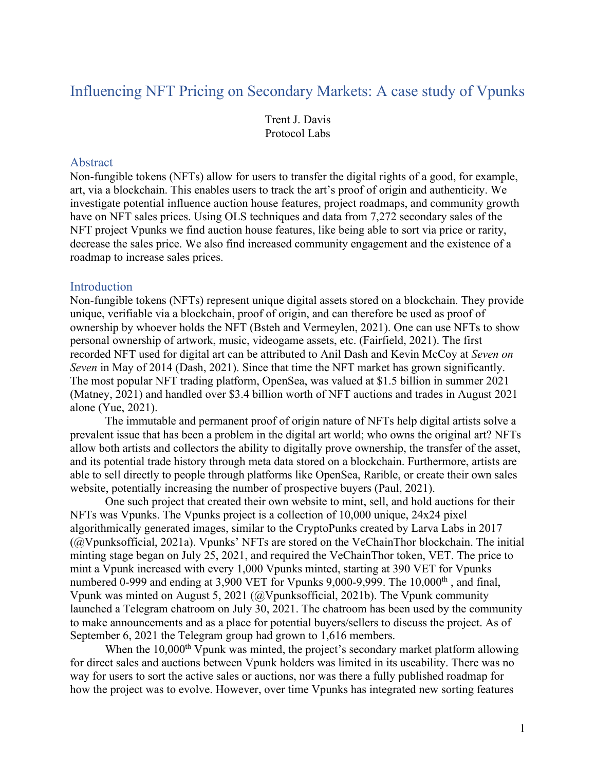# Influencing NFT Pricing on Secondary Markets: A case study of Vpunks

Trent J. Davis Protocol Labs

#### Abstract

Non-fungible tokens (NFTs) allow for users to transfer the digital rights of a good, for example, art, via a blockchain. This enables users to track the art's proof of origin and authenticity. We investigate potential influence auction house features, project roadmaps, and community growth have on NFT sales prices. Using OLS techniques and data from 7,272 secondary sales of the NFT project Vpunks we find auction house features, like being able to sort via price or rarity, decrease the sales price. We also find increased community engagement and the existence of a roadmap to increase sales prices.

#### Introduction

Non-fungible tokens (NFTs) represent unique digital assets stored on a blockchain. They provide unique, verifiable via a blockchain, proof of origin, and can therefore be used as proof of ownership by whoever holds the NFT (Bsteh and Vermeylen, 2021). One can use NFTs to show personal ownership of artwork, music, videogame assets, etc. (Fairfield, 2021). The first recorded NFT used for digital art can be attributed to Anil Dash and Kevin McCoy at *Seven on Seven* in May of 2014 (Dash, 2021). Since that time the NFT market has grown significantly. The most popular NFT trading platform, OpenSea, was valued at \$1.5 billion in summer 2021 (Matney, 2021) and handled over \$3.4 billion worth of NFT auctions and trades in August 2021 alone (Yue, 2021).

The immutable and permanent proof of origin nature of NFTs help digital artists solve a prevalent issue that has been a problem in the digital art world; who owns the original art? NFTs allow both artists and collectors the ability to digitally prove ownership, the transfer of the asset, and its potential trade history through meta data stored on a blockchain. Furthermore, artists are able to sell directly to people through platforms like OpenSea, Rarible, or create their own sales website, potentially increasing the number of prospective buyers (Paul, 2021).

One such project that created their own website to mint, sell, and hold auctions for their NFTs was Vpunks. The Vpunks project is a collection of 10,000 unique, 24x24 pixel algorithmically generated images, similar to the CryptoPunks created by Larva Labs in 2017 (@Vpunksofficial, 2021a). Vpunks' NFTs are stored on the VeChainThor blockchain. The initial minting stage began on July 25, 2021, and required the VeChainThor token, VET. The price to mint a Vpunk increased with every 1,000 Vpunks minted, starting at 390 VET for Vpunks numbered 0-999 and ending at 3,900 VET for Vpunks 9,000-9,999. The  $10,000<sup>th</sup>$ , and final, Vpunk was minted on August 5, 2021 (@Vpunksofficial, 2021b). The Vpunk community launched a Telegram chatroom on July 30, 2021. The chatroom has been used by the community to make announcements and as a place for potential buyers/sellers to discuss the project. As of September 6, 2021 the Telegram group had grown to 1,616 members.

When the 10,000<sup>th</sup> Vpunk was minted, the project's secondary market platform allowing for direct sales and auctions between Vpunk holders was limited in its useability. There was no way for users to sort the active sales or auctions, nor was there a fully published roadmap for how the project was to evolve. However, over time Vpunks has integrated new sorting features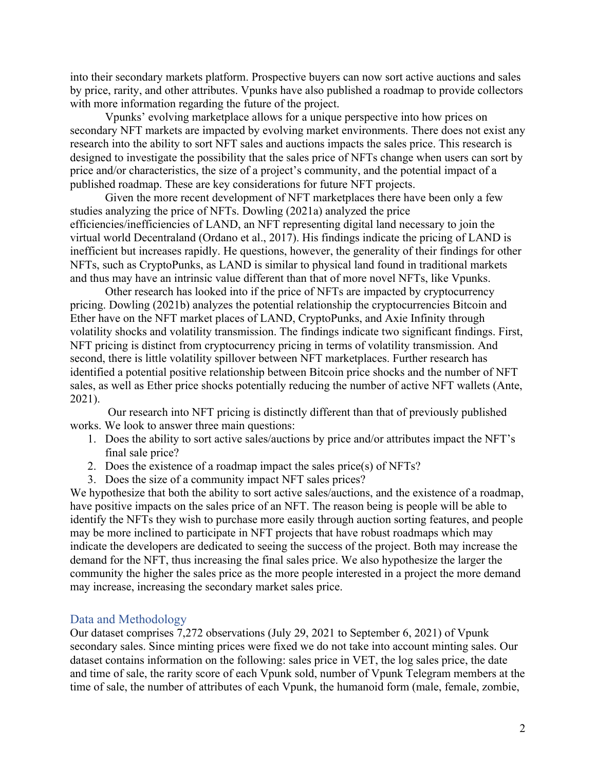into their secondary markets platform. Prospective buyers can now sort active auctions and sales by price, rarity, and other attributes. Vpunks have also published a roadmap to provide collectors with more information regarding the future of the project.

Vpunks' evolving marketplace allows for a unique perspective into how prices on secondary NFT markets are impacted by evolving market environments. There does not exist any research into the ability to sort NFT sales and auctions impacts the sales price. This research is designed to investigate the possibility that the sales price of NFTs change when users can sort by price and/or characteristics, the size of a project's community, and the potential impact of a published roadmap. These are key considerations for future NFT projects.

Given the more recent development of NFT marketplaces there have been only a few studies analyzing the price of NFTs. Dowling (2021a) analyzed the price efficiencies/inefficiencies of LAND, an NFT representing digital land necessary to join the virtual world Decentraland (Ordano et al., 2017). His findings indicate the pricing of LAND is inefficient but increases rapidly. He questions, however, the generality of their findings for other NFTs, such as CryptoPunks, as LAND is similar to physical land found in traditional markets and thus may have an intrinsic value different than that of more novel NFTs, like Vpunks.

Other research has looked into if the price of NFTs are impacted by cryptocurrency pricing. Dowling (2021b) analyzes the potential relationship the cryptocurrencies Bitcoin and Ether have on the NFT market places of LAND, CryptoPunks, and Axie Infinity through volatility shocks and volatility transmission. The findings indicate two significant findings. First, NFT pricing is distinct from cryptocurrency pricing in terms of volatility transmission. And second, there is little volatility spillover between NFT marketplaces. Further research has identified a potential positive relationship between Bitcoin price shocks and the number of NFT sales, as well as Ether price shocks potentially reducing the number of active NFT wallets (Ante, 2021).

Our research into NFT pricing is distinctly different than that of previously published works. We look to answer three main questions:

- 1. Does the ability to sort active sales/auctions by price and/or attributes impact the NFT's final sale price?
- 2. Does the existence of a roadmap impact the sales price(s) of NFTs?
- 3. Does the size of a community impact NFT sales prices?

We hypothesize that both the ability to sort active sales/auctions, and the existence of a roadmap, have positive impacts on the sales price of an NFT. The reason being is people will be able to identify the NFTs they wish to purchase more easily through auction sorting features, and people may be more inclined to participate in NFT projects that have robust roadmaps which may indicate the developers are dedicated to seeing the success of the project. Both may increase the demand for the NFT, thus increasing the final sales price. We also hypothesize the larger the community the higher the sales price as the more people interested in a project the more demand may increase, increasing the secondary market sales price.

### Data and Methodology

Our dataset comprises 7,272 observations (July 29, 2021 to September 6, 2021) of Vpunk secondary sales. Since minting prices were fixed we do not take into account minting sales. Our dataset contains information on the following: sales price in VET, the log sales price, the date and time of sale, the rarity score of each Vpunk sold, number of Vpunk Telegram members at the time of sale, the number of attributes of each Vpunk, the humanoid form (male, female, zombie,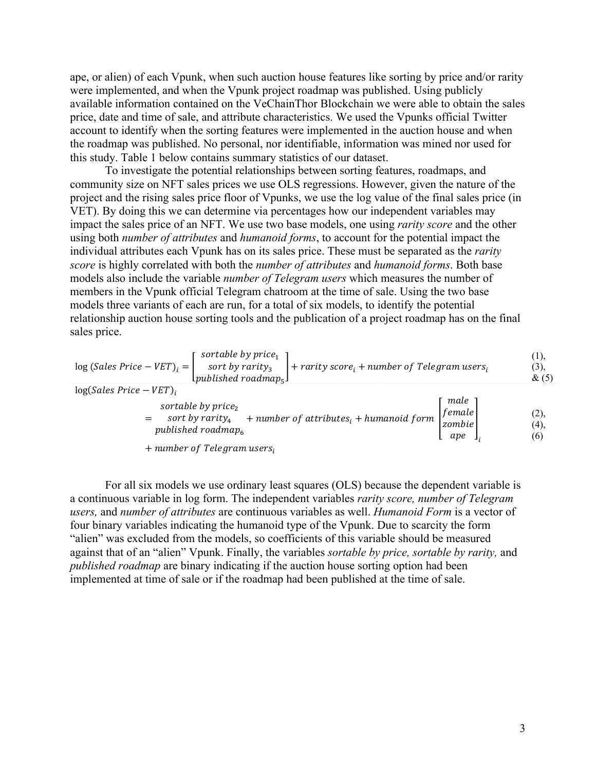ape, or alien) of each Vpunk, when such auction house features like sorting by price and/or rarity were implemented, and when the Vpunk project roadmap was published. Using publicly available information contained on the VeChainThor Blockchain we were able to obtain the sales price, date and time of sale, and attribute characteristics. We used the Vpunks official Twitter account to identify when the sorting features were implemented in the auction house and when the roadmap was published. No personal, nor identifiable, information was mined nor used for this study. Table 1 below contains summary statistics of our dataset.

To investigate the potential relationships between sorting features, roadmaps, and community size on NFT sales prices we use OLS regressions. However, given the nature of the project and the rising sales price floor of Vpunks, we use the log value of the final sales price (in VET). By doing this we can determine via percentages how our independent variables may impact the sales price of an NFT. We use two base models, one using *rarity score* and the other using both *number of attributes* and *humanoid forms*, to account for the potential impact the individual attributes each Vpunk has on its sales price. These must be separated as the *rarity score* is highly correlated with both the *number of attributes* and *humanoid forms*. Both base models also include the variable *number of Telegram users* which measures the number of members in the Vpunk official Telegram chatroom at the time of sale. Using the two base models three variants of each are run, for a total of six models, to identify the potential relationship auction house sorting tools and the publication of a project roadmap has on the final sales price.

| $\log{(Sales\ Price - VET)}_i = \begin{bmatrix} sortable\ by\ price_1 \\ sort\ by\ parity_3 \\ published\ roadmap_5 \end{bmatrix} + rarity\ score_i + number\ of\ Telegraph\ users_i$ |                                                                  |                     |  |
|---------------------------------------------------------------------------------------------------------------------------------------------------------------------------------------|------------------------------------------------------------------|---------------------|--|
| $log(Sales Price - VET)$<br>sortable by $price2$<br>sort by rarity <sub>4</sub> + number of attributes <sub>i</sub> + humanoid form<br>published roadmap.                             | male<br>$\begin{array}{c} [female]\\zombie\\ \end{array}$<br>ape | (2),<br>(4),<br>(6) |  |
| $+$ number of Telegram users,                                                                                                                                                         |                                                                  |                     |  |

For all six models we use ordinary least squares (OLS) because the dependent variable is a continuous variable in log form. The independent variables *rarity score, number of Telegram users,* and *number of attributes* are continuous variables as well. *Humanoid Form* is a vector of four binary variables indicating the humanoid type of the Vpunk. Due to scarcity the form "alien" was excluded from the models, so coefficients of this variable should be measured against that of an "alien" Vpunk. Finally, the variables *sortable by price, sortable by rarity,* and *published roadmap* are binary indicating if the auction house sorting option had been implemented at time of sale or if the roadmap had been published at the time of sale.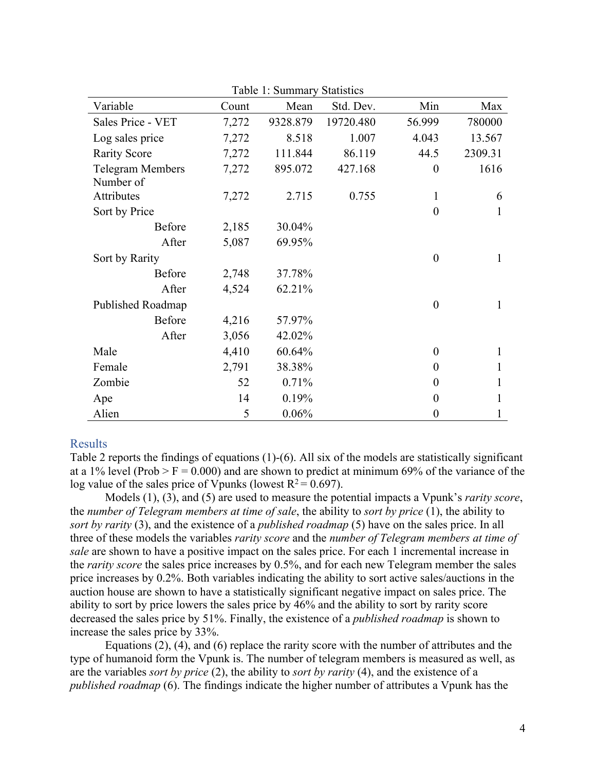| TAUIV I. DUIIIIIIAI Y<br>Dialistics |       |          |           |                  |         |  |  |
|-------------------------------------|-------|----------|-----------|------------------|---------|--|--|
| Variable                            | Count | Mean     | Std. Dev. | Min              | Max     |  |  |
| Sales Price - VET                   | 7,272 | 9328.879 | 19720.480 | 56.999           | 780000  |  |  |
| Log sales price                     | 7,272 | 8.518    | 1.007     | 4.043            | 13.567  |  |  |
| <b>Rarity Score</b>                 | 7,272 | 111.844  | 86.119    | 44.5             | 2309.31 |  |  |
| <b>Telegram Members</b>             | 7,272 | 895.072  | 427.168   | $\boldsymbol{0}$ | 1616    |  |  |
| Number of                           |       |          |           |                  |         |  |  |
| Attributes                          | 7,272 | 2.715    | 0.755     | 1                | 6       |  |  |
| Sort by Price                       |       |          |           | $\theta$         |         |  |  |
| Before                              | 2,185 | 30.04%   |           |                  |         |  |  |
| After                               | 5,087 | 69.95%   |           |                  |         |  |  |
| Sort by Rarity                      |       |          |           | $\theta$         | 1       |  |  |
| Before                              | 2,748 | 37.78%   |           |                  |         |  |  |
| After                               | 4,524 | 62.21%   |           |                  |         |  |  |
| Published Roadmap                   |       |          |           | $\overline{0}$   | 1       |  |  |
| Before                              | 4,216 | 57.97%   |           |                  |         |  |  |
| After                               | 3,056 | 42.02%   |           |                  |         |  |  |
| Male                                | 4,410 | 60.64%   |           | $\theta$         |         |  |  |
| Female                              | 2,791 | 38.38%   |           | $\Omega$         |         |  |  |
| Zombie                              | 52    | 0.71%    |           | $\Omega$         | 1       |  |  |
| Ape                                 | 14    | 0.19%    |           | $\boldsymbol{0}$ | 1       |  |  |
| Alien                               | 5     | 0.06%    |           | $\Omega$         |         |  |  |

Table 1: Summary Statistics

## Results

Table 2 reports the findings of equations (1)-(6). All six of the models are statistically significant at a 1% level (Prob > F = 0.000) and are shown to predict at minimum 69% of the variance of the log value of the sales price of Vpunks (lowest  $R^2 = 0.697$ ).

Models (1), (3), and (5) are used to measure the potential impacts a Vpunk's *rarity score*, the *number of Telegram members at time of sale*, the ability to *sort by price* (1), the ability to *sort by rarity* (3), and the existence of a *published roadmap* (5) have on the sales price. In all three of these models the variables *rarity score* and the *number of Telegram members at time of sale* are shown to have a positive impact on the sales price. For each 1 incremental increase in the *rarity score* the sales price increases by 0.5%, and for each new Telegram member the sales price increases by 0.2%. Both variables indicating the ability to sort active sales/auctions in the auction house are shown to have a statistically significant negative impact on sales price. The ability to sort by price lowers the sales price by 46% and the ability to sort by rarity score decreased the sales price by 51%. Finally, the existence of a *published roadmap* is shown to increase the sales price by 33%.

Equations (2), (4), and (6) replace the rarity score with the number of attributes and the type of humanoid form the Vpunk is. The number of telegram members is measured as well, as are the variables *sort by price* (2), the ability to *sort by rarity* (4), and the existence of a *published roadmap* (6). The findings indicate the higher number of attributes a Vpunk has the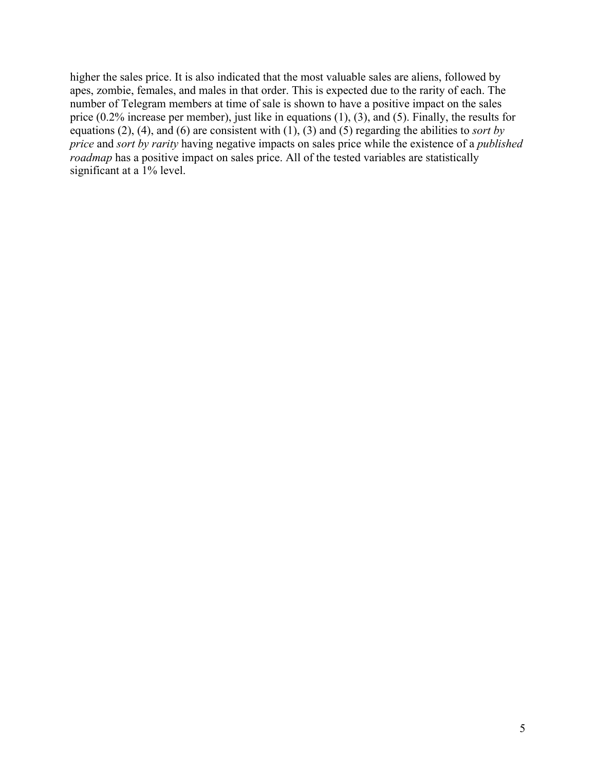higher the sales price. It is also indicated that the most valuable sales are aliens, followed by apes, zombie, females, and males in that order. This is expected due to the rarity of each. The number of Telegram members at time of sale is shown to have a positive impact on the sales price (0.2% increase per member), just like in equations (1), (3), and (5). Finally, the results for equations (2), (4), and (6) are consistent with (1), (3) and (5) regarding the abilities to *sort by price* and *sort by rarity* having negative impacts on sales price while the existence of a *published roadmap* has a positive impact on sales price. All of the tested variables are statistically significant at a 1% level.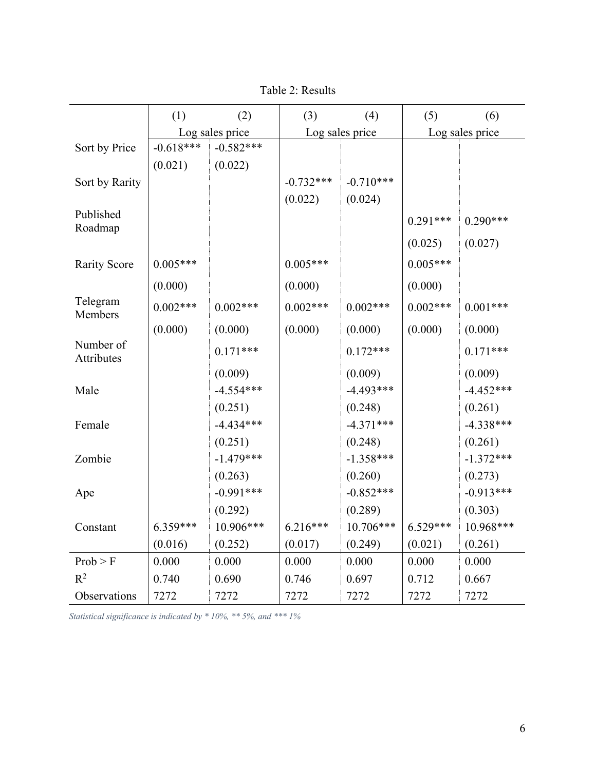|                         | (1)             | (2)         | (3)             | (4)         | (5)             | (6)         |
|-------------------------|-----------------|-------------|-----------------|-------------|-----------------|-------------|
|                         | Log sales price |             | Log sales price |             | Log sales price |             |
| Sort by Price           | $-0.618***$     | $-0.582***$ |                 |             |                 |             |
|                         | (0.021)         | (0.022)     |                 |             |                 |             |
| Sort by Rarity          |                 |             | $-0.732***$     | $-0.710***$ |                 |             |
|                         |                 |             | (0.022)         | (0.024)     |                 |             |
| Published               |                 |             |                 |             | $0.291***$      | $0.290***$  |
| Roadmap                 |                 |             |                 |             |                 |             |
|                         |                 |             |                 |             | (0.025)         | (0.027)     |
| <b>Rarity Score</b>     | $0.005***$      |             | $0.005***$      |             | $0.005***$      |             |
|                         | (0.000)         |             | (0.000)         |             | (0.000)         |             |
| Telegram<br>Members     | $0.002***$      | $0.002***$  | $0.002***$      | $0.002***$  | $0.002***$      | $0.001***$  |
|                         | (0.000)         | (0.000)     | (0.000)         | (0.000)     | (0.000)         | (0.000)     |
| Number of<br>Attributes |                 | $0.171***$  |                 | $0.172***$  |                 | $0.171***$  |
|                         |                 | (0.009)     |                 | (0.009)     |                 | (0.009)     |
| Male                    |                 | $-4.554***$ |                 | $-4.493***$ |                 | $-4.452***$ |
|                         |                 | (0.251)     |                 | (0.248)     |                 | (0.261)     |
| Female                  |                 | $-4.434***$ |                 | $-4.371***$ |                 | $-4.338***$ |
|                         |                 | (0.251)     |                 | (0.248)     |                 | (0.261)     |
| Zombie                  |                 | $-1.479***$ |                 | $-1.358***$ |                 | $-1.372***$ |
|                         |                 | (0.263)     |                 | (0.260)     |                 | (0.273)     |
| Ape                     |                 | $-0.991***$ |                 | $-0.852***$ |                 | $-0.913***$ |
|                         |                 | (0.292)     |                 | (0.289)     |                 | (0.303)     |
| Constant                | $6.359***$      | 10.906***   | $6.216***$      | 10.706***   | $6.529***$      | 10.968***   |
|                         | (0.016)         | (0.252)     | (0.017)         | (0.249)     | (0.021)         | (0.261)     |
| Prob > F                | 0.000           | 0.000       | 0.000           | 0.000       | 0.000           | 0.000       |
| $R^2$                   | 0.740           | 0.690       | 0.746           | 0.697       | 0.712           | 0.667       |
| Observations            | 7272            | 7272        | 7272            | 7272        | 7272            | 7272        |

Table 2: Results

*Statistical significance is indicated by \* 10%, \*\* 5%, and \*\*\* 1%*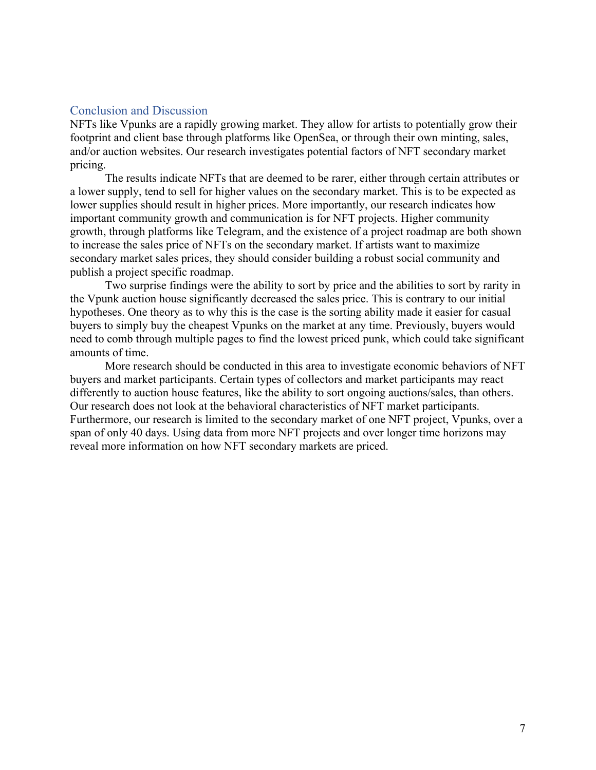## Conclusion and Discussion

NFTs like Vpunks are a rapidly growing market. They allow for artists to potentially grow their footprint and client base through platforms like OpenSea, or through their own minting, sales, and/or auction websites. Our research investigates potential factors of NFT secondary market pricing.

The results indicate NFTs that are deemed to be rarer, either through certain attributes or a lower supply, tend to sell for higher values on the secondary market. This is to be expected as lower supplies should result in higher prices. More importantly, our research indicates how important community growth and communication is for NFT projects. Higher community growth, through platforms like Telegram, and the existence of a project roadmap are both shown to increase the sales price of NFTs on the secondary market. If artists want to maximize secondary market sales prices, they should consider building a robust social community and publish a project specific roadmap.

Two surprise findings were the ability to sort by price and the abilities to sort by rarity in the Vpunk auction house significantly decreased the sales price. This is contrary to our initial hypotheses. One theory as to why this is the case is the sorting ability made it easier for casual buyers to simply buy the cheapest Vpunks on the market at any time. Previously, buyers would need to comb through multiple pages to find the lowest priced punk, which could take significant amounts of time.

More research should be conducted in this area to investigate economic behaviors of NFT buyers and market participants. Certain types of collectors and market participants may react differently to auction house features, like the ability to sort ongoing auctions/sales, than others. Our research does not look at the behavioral characteristics of NFT market participants. Furthermore, our research is limited to the secondary market of one NFT project, Vpunks, over a span of only 40 days. Using data from more NFT projects and over longer time horizons may reveal more information on how NFT secondary markets are priced.